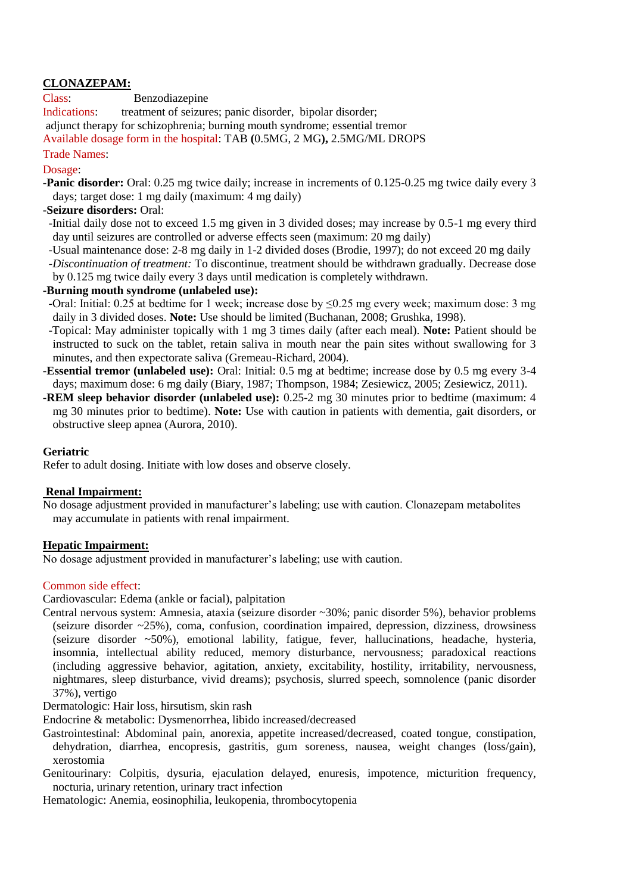## **CLONAZEPAM:**

Class: Benzodiazepine

Indications: treatment of seizures; panic disorder, bipolar disorder; adjunct therapy for schizophrenia; burning mouth syndrome; essential tremor Available dosage form in the hospital: TAB **(**0.5MG, 2 MG**),** 2.5MG/ML DROPS

Trade Names:

Dosage:

**-Panic disorder:** Oral: 0.25 mg twice daily; increase in increments of 0.125-0.25 mg twice daily every 3 days; target dose: 1 mg daily (maximum: 4 mg daily)

# **-Seizure disorders:** Oral:

- -Initial daily dose not to exceed 1.5 mg given in 3 divided doses; may increase by 0.5-1 mg every third day until seizures are controlled or adverse effects seen (maximum: 20 mg daily)
- -Usual maintenance dose: 2-8 mg daily in 1-2 divided doses (Brodie, 1997); do not exceed 20 mg daily
- *-Discontinuation of treatment:* To discontinue, treatment should be withdrawn gradually. Decrease dose by 0.125 mg twice daily every 3 days until medication is completely withdrawn.

#### **-Burning mouth syndrome (unlabeled use):**

- -Oral: Initial: 0.25 at bedtime for 1 week; increase dose by ≤0.25 mg every week; maximum dose: 3 mg daily in 3 divided doses. **Note:** Use should be limited (Buchanan, 2008; Grushka, 1998).
- -Topical: May administer topically with 1 mg 3 times daily (after each meal). **Note:** Patient should be instructed to suck on the tablet, retain saliva in mouth near the pain sites without swallowing for 3 minutes, and then expectorate saliva (Gremeau-Richard, 2004).
- **-Essential tremor (unlabeled use):** Oral: Initial: 0.5 mg at bedtime; increase dose by 0.5 mg every 3-4 days; maximum dose: 6 mg daily (Biary, 1987; Thompson, 1984; Zesiewicz, 2005; Zesiewicz, 2011).
- **-REM sleep behavior disorder (unlabeled use):** 0.25-2 mg 30 minutes prior to bedtime (maximum: 4 mg 30 minutes prior to bedtime). **Note:** Use with caution in patients with dementia, gait disorders, or obstructive sleep apnea (Aurora, 2010).

## **Geriatric**

Refer to adult dosing. Initiate with low doses and observe closely.

## **Renal Impairment:**

No dosage adjustment provided in manufacturer's labeling; use with caution. Clonazepam metabolites may accumulate in patients with renal impairment.

## **Hepatic Impairment:**

No dosage adjustment provided in manufacturer's labeling; use with caution.

## Common side effect:

Cardiovascular: Edema (ankle or facial), palpitation

Central nervous system: Amnesia, ataxia (seizure disorder ~30%; panic disorder 5%), behavior problems (seizure disorder  $\sim$ 25%), coma, confusion, coordination impaired, depression, dizziness, drowsiness (seizure disorder ~50%), emotional lability, fatigue, fever, hallucinations, headache, hysteria, insomnia, intellectual ability reduced, memory disturbance, nervousness; paradoxical reactions (including aggressive behavior, agitation, anxiety, excitability, hostility, irritability, nervousness, nightmares, sleep disturbance, vivid dreams); psychosis, slurred speech, somnolence (panic disorder 37%), vertigo

Dermatologic: Hair loss, hirsutism, skin rash

Endocrine & metabolic: Dysmenorrhea, libido increased/decreased

Gastrointestinal: Abdominal pain, anorexia, appetite increased/decreased, coated tongue, constipation, dehydration, diarrhea, encopresis, gastritis, gum soreness, nausea, weight changes (loss/gain), xerostomia

Genitourinary: Colpitis, dysuria, ejaculation delayed, enuresis, impotence, micturition frequency, nocturia, urinary retention, urinary tract infection

Hematologic: Anemia, eosinophilia, leukopenia, thrombocytopenia